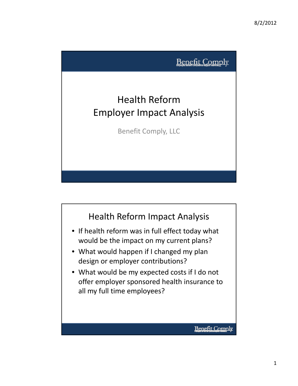

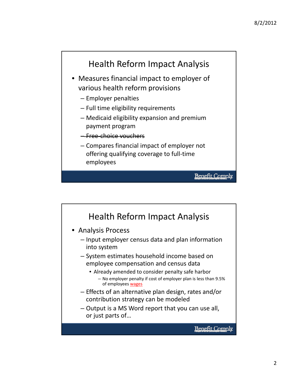

- Measures financial impact to employer of various health reform provisions
	- Employer penalties
	- Full time eligibility requirements
	- Medicaid eligibility expansion and premium payment program
	- Free‐choice vouchers
	- Compares financial impact of employer not offering qualifying coverage to full‐time employees

```
Benefit Comply
```
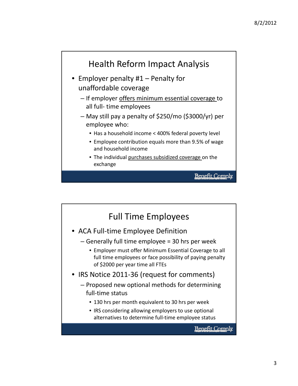

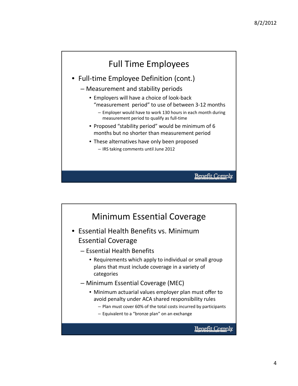## Full Time Employees

- Full-time Employee Definition (cont.)
	- Measurement and stability periods
		- Employers will have a choice of look‐back "measurement period" to use of between 3‐12 months
			- Employer would have to work 130 hours in each month during measurement period to qualify as full‐time
		- Proposed "stability period" would be minimum of 6 months but no shorter than measurement period
		- These alternatives have only been proposed – IRS taking comments until June 2012

**Benefit Comply** 

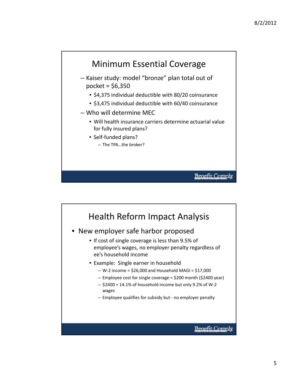

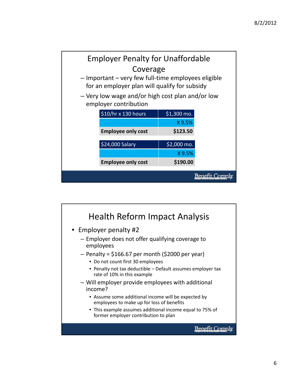

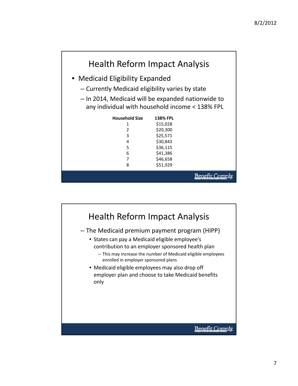